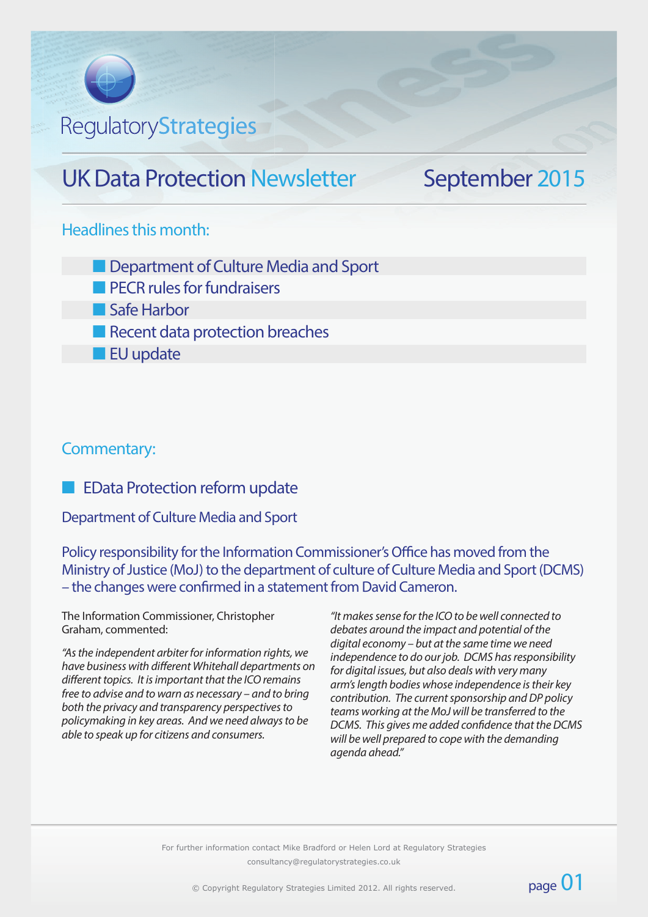# RegulatoryStrategies

# UK Data Protection Newsletter September 2015

## Headlines this month:

- **n** Department of Culture Media and Sport
- $\blacksquare$  PECR rules for fundraisers
- **n** Safe Harbor
- Recent data protection breaches
- **n** EU update

## Commentary:

## **EData Protection reform update**

Department of Culture Media and Sport

Policy responsibility for the Information Commissioner's Office has moved from the Ministry of Justice (MoJ) to the department of culture of Culture Media and Sport (DCMS) – the changes were confirmed in a statement from David Cameron.

The Information Commissioner, Christopher Graham, commented:

*"As the independent arbiter for information rights, we have business with different Whitehall departments on different topics. It is important that the ICO remains free to advise and to warn as necessary – and to bring both the privacy and transparency perspectives to policymaking in key areas. And we need always to be able to speak up for citizens and consumers.*

*"It makes sense for the ICO to be well connected to debates around the impact and potential of the digital economy – but at the same time we need independence to do our job. DCMS has responsibility for digital issues, but also deals with very many arm's length bodies whose independence is their key contribution. The current sponsorship and DP policy teams working at the MoJ will be transferred to the DCMS. This gives me added confidence that the DCMS will be well prepared to cope with the demanding agenda ahead."*

page 01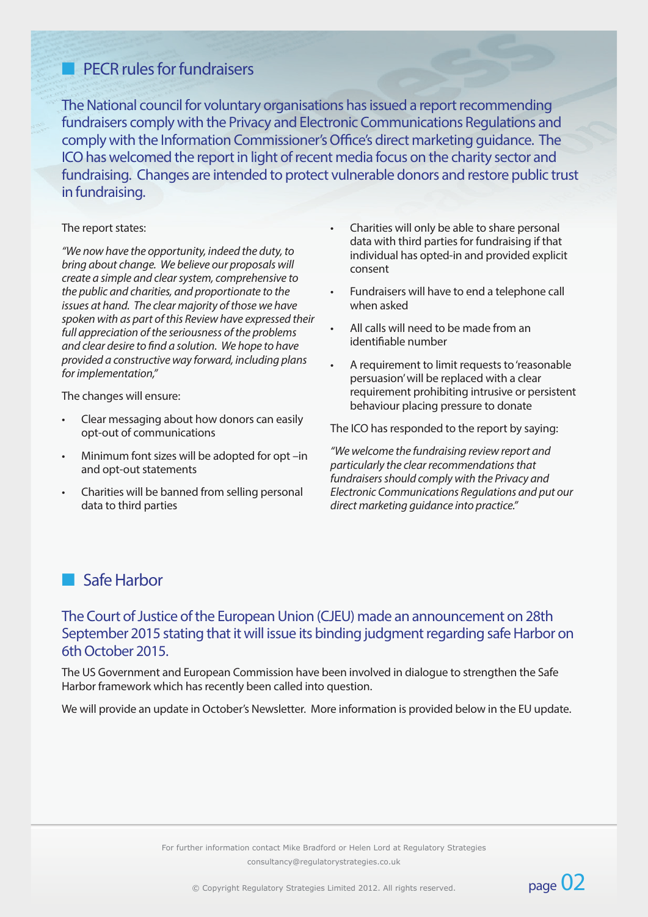# **n** PECR rules for fundraisers

The National council for voluntary organisations has issued a report recommending fundraisers comply with the Privacy and Electronic Communications Regulations and comply with the Information Commissioner's Office's direct marketing guidance. The ICO has welcomed the report in light of recent media focus on the charity sector and fundraising. Changes are intended to protect vulnerable donors and restore public trust in fundraising.

#### The report states:

*"We now have the opportunity, indeed the duty, to bring about change. We believe our proposals will create a simple and clear system, comprehensive to the public and charities, and proportionate to the issues at hand. The clear majority of those we have spoken with as part of this Review have expressed their full appreciation of the seriousness of the problems and clear desire to find a solution. We hope to have provided a constructive way forward, including plans for implementation,"*

The changes will ensure:

- Clear messaging about how donors can easily opt-out of communications
- Minimum font sizes will be adopted for opt -in and opt-out statements
- Charities will be banned from selling personal data to third parties
- Charities will only be able to share personal data with third parties for fundraising if that individual has opted-in and provided explicit consent
- Fundraisers will have to end a telephone call when asked
- All calls will need to be made from an identifiable number
- A requirement to limit requests to 'reasonable persuasion' will be replaced with a clear requirement prohibiting intrusive or persistent behaviour placing pressure to donate

The ICO has responded to the report by saying:

*"We welcome the fundraising review report and particularly the clear recommendations that fundraisers should comply with the Privacy and Electronic Communications Regulations and put our direct marketing guidance into practice."* 

page 02

# **n** Safe Harbor

## The Court of Justice of the European Union (CJEU) made an announcement on 28th September 2015 stating that it will issue its binding judgment regarding safe Harbor on 6th October 2015.

The US Government and European Commission have been involved in dialogue to strengthen the Safe Harbor framework which has recently been called into question.

We will provide an update in October's Newsletter. More information is provided below in the EU update.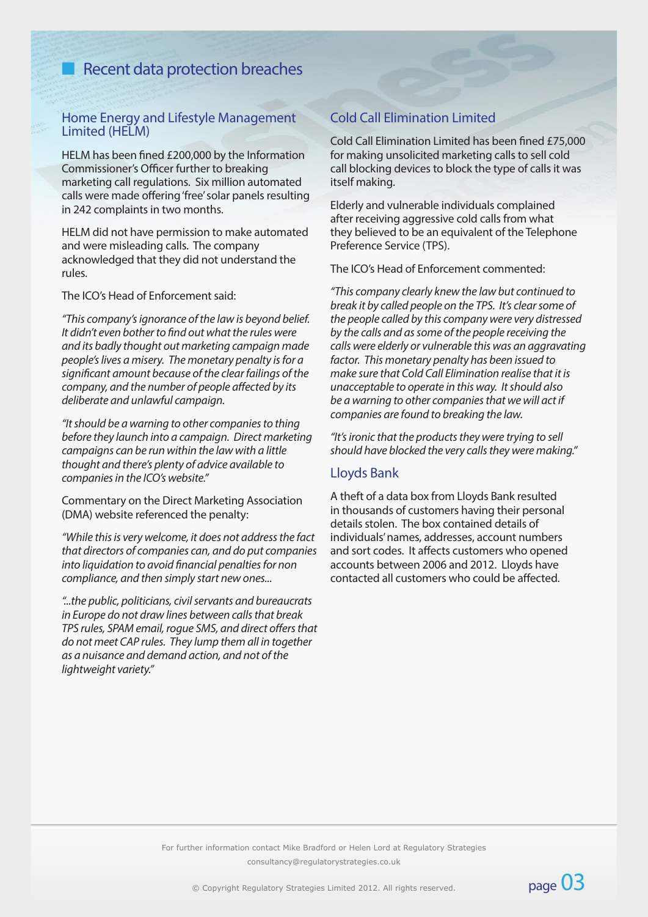# **n** Recent data protection breaches

### Home Energy and Lifestyle Management Limited (HELM)

HELM has been fined £200,000 by the Information Commissioner's Officer further to breaking marketing call regulations. Six million automated calls were made offering 'free' solar panels resulting in 242 complaints in two months.

HELM did not have permission to make automated and were misleading calls. The company acknowledged that they did not understand the rules.

The ICO's Head of Enforcement said:

*"This company's ignorance of the law is beyond belief. It didn't even bother to find out what the rules were and its badly thought out marketing campaign made people's lives a misery. The monetary penalty is for a significant amount because of the clear failings of the company, and the number of people affected by its deliberate and unlawful campaign.*

*"It should be a warning to other companies to thing before they launch into a campaign. Direct marketing campaigns can be run within the law with a little thought and there's plenty of advice available to companies in the ICO's website."*

Commentary on the Direct Marketing Association (DMA) website referenced the penalty:

*"While this is very welcome, it does not address the fact that directors of companies can, and do put companies into liquidation to avoid financial penalties for non compliance, and then simply start new ones...*

*"...the public, politicians, civil servants and bureaucrats in Europe do not draw lines between calls that break TPS rules, SPAM email, rogue SMS, and direct offers that do not meet CAP rules. They lump them all in together as a nuisance and demand action, and not of the lightweight variety."*

### Cold Call Elimination Limited

Cold Call Elimination Limited has been fined £75,000 for making unsolicited marketing calls to sell cold call blocking devices to block the type of calls it was itself making.

Elderly and vulnerable individuals complained after receiving aggressive cold calls from what they believed to be an equivalent of the Telephone Preference Service (TPS).

The ICO's Head of Enforcement commented:

*"This company clearly knew the law but continued to break it by called people on the TPS. It's clear some of the people called by this company were very distressed by the calls and as some of the people receiving the calls were elderly or vulnerable this was an aggravating factor. This monetary penalty has been issued to make sure that Cold Call Elimination realise that it is unacceptable to operate in this way. It should also be a warning to other companies that we will act if companies are found to breaking the law.*

*"It's ironic that the products they were trying to sell should have blocked the very calls they were making."*

#### Lloyds Bank

A theft of a data box from Lloyds Bank resulted in thousands of customers having their personal details stolen. The box contained details of individuals' names, addresses, account numbers and sort codes. It affects customers who opened accounts between 2006 and 2012. Lloyds have contacted all customers who could be affected.

page 03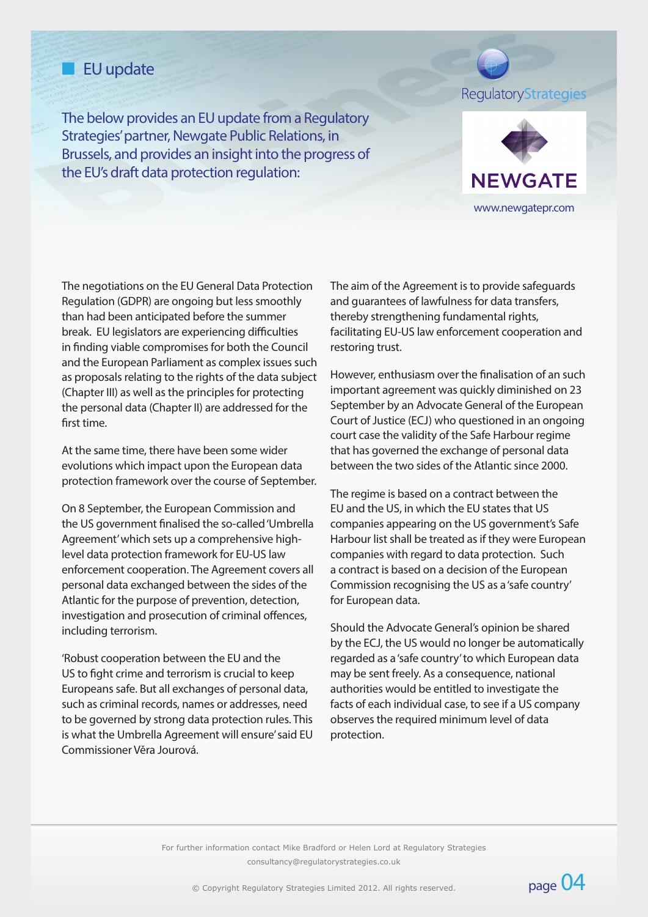# **n** EU update

The below provides an EU update from a Regulatory Strategies' partner, Newgate Public Relations, in Brussels, and provides an insight into the progress of the EU's draft data protection regulation:

RegulatoryStrategies



The negotiations on the EU General Data Protection Regulation (GDPR) are ongoing but less smoothly than had been anticipated before the summer break. EU legislators are experiencing difficulties in finding viable compromises for both the Council and the European Parliament as complex issues such as proposals relating to the rights of the data subject (Chapter III) as well as the principles for protecting the personal data (Chapter II) are addressed for the first time.

At the same time, there have been some wider evolutions which impact upon the European data protection framework over the course of September.

On 8 September, the European Commission and the US government finalised the so-called 'Umbrella Agreement' which sets up a comprehensive highlevel data protection framework for EU-US law enforcement cooperation. The Agreement covers all personal data exchanged between the sides of the Atlantic for the purpose of prevention, detection, investigation and prosecution of criminal offences, including terrorism.

'Robust cooperation between the EU and the US to fight crime and terrorism is crucial to keep Europeans safe. But all exchanges of personal data, such as criminal records, names or addresses, need to be governed by strong data protection rules. This is what the Umbrella Agreement will ensure' said EU Commissioner Věra Jourová.

The aim of the Agreement is to provide safeguards and guarantees of lawfulness for data transfers, thereby strengthening fundamental rights, facilitating EU-US law enforcement cooperation and restoring trust.

However, enthusiasm over the finalisation of an such important agreement was quickly diminished on 23 September by an Advocate General of the European Court of Justice (ECJ) who questioned in an ongoing court case the validity of the Safe Harbour regime that has governed the exchange of personal data between the two sides of the Atlantic since 2000.

The regime is based on a contract between the EU and the US, in which the EU states that US companies appearing on the US government's Safe Harbour list shall be treated as if they were European companies with regard to data protection. Such a contract is based on a decision of the European Commission recognising the US as a 'safe country' for European data.

Should the Advocate General's opinion be shared by the ECJ, the US would no longer be automatically regarded as a 'safe country' to which European data may be sent freely. As a consequence, national authorities would be entitled to investigate the facts of each individual case, to see if a US company observes the required minimum level of data protection.

page 04